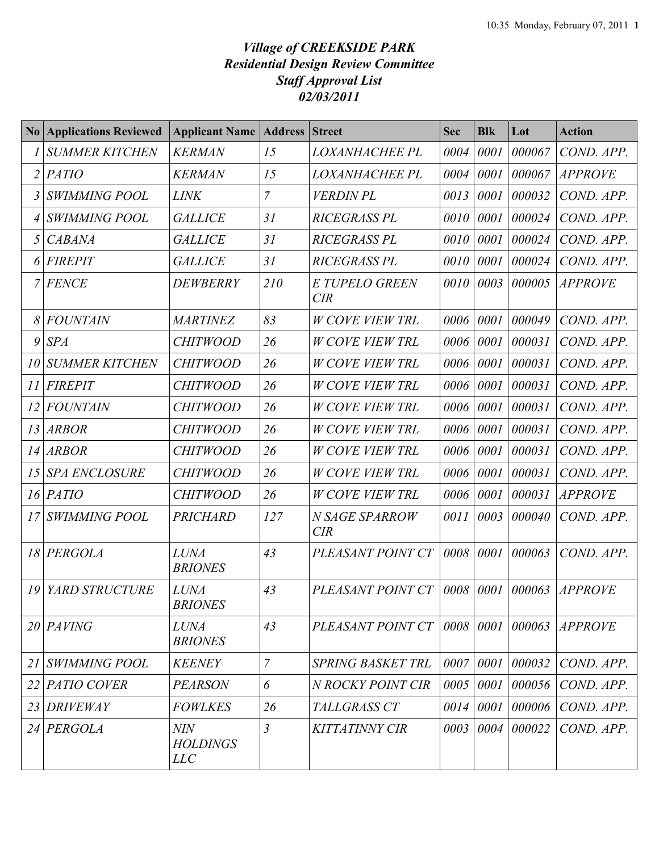## *Village of CREEKSIDE PARK Residential Design Review Committee Staff Approval List 02/03/2011*

| $\bf{N}$ o     | <b>Applications Reviewed</b> | <b>Applicant Name</b>                       | <b>Address</b> | <b>Street</b>                | <b>Sec</b> | <b>Blk</b> | Lot    | <b>Action</b>  |
|----------------|------------------------------|---------------------------------------------|----------------|------------------------------|------------|------------|--------|----------------|
|                | <b>SUMMER KITCHEN</b>        | <b>KERMAN</b>                               | 15             | LOXANHACHEE PL               | 0004       | 0001       | 000067 | COND. APP.     |
| $\overline{2}$ | <b>PATIO</b>                 | <b>KERMAN</b>                               | 15             | <b>LOXANHACHEE PL</b>        | 0004       | 0001       | 000067 | <b>APPROVE</b> |
| 3              | <b>SWIMMING POOL</b>         | <b>LINK</b>                                 | $\overline{7}$ | <b>VERDIN PL</b>             | 0013       | 0001       | 000032 | COND. APP.     |
|                | <b>SWIMMING POOL</b>         | <b>GALLICE</b>                              | 31             | <b>RICEGRASS PL</b>          | 0010       | 0001       | 000024 | COND. APP.     |
| 5              | <b>CABANA</b>                | <b>GALLICE</b>                              | 31             | <b>RICEGRASS PL</b>          | 0010       | 0001       | 000024 | COND. APP.     |
|                | <b>FIREPIT</b>               | <b>GALLICE</b>                              | 31             | <b>RICEGRASS PL</b>          | 0010       | 0001       | 000024 | COND. APP.     |
|                | <b>FENCE</b>                 | <b>DEWBERRY</b>                             | 210            | <b>E TUPELO GREEN</b><br>CIR | 0010       | 0003       | 000005 | <b>APPROVE</b> |
|                | <b>FOUNTAIN</b>              | <b>MARTINEZ</b>                             | 83             | <b>W COVE VIEW TRL</b>       | 0006       | 0001       | 000049 | COND. APP.     |
| 9              | <b>SPA</b>                   | <b>CHITWOOD</b>                             | 26             | <b>W COVE VIEW TRL</b>       | 0006       | 0001       | 000031 | COND. APP.     |
| 10             | <b>SUMMER KITCHEN</b>        | <b>CHITWOOD</b>                             | 26             | <b>W COVE VIEW TRL</b>       | 0006       | 0001       | 000031 | COND. APP.     |
| 11             | <b>FIREPIT</b>               | <b>CHITWOOD</b>                             | 26             | <b>W COVE VIEW TRL</b>       | 0006       | 0001       | 000031 | COND. APP.     |
| 12             | <b>FOUNTAIN</b>              | <b>CHITWOOD</b>                             | 26             | <b>W COVE VIEW TRL</b>       | 0006       | 0001       | 000031 | COND. APP.     |
| 13             | <b>ARBOR</b>                 | <b>CHITWOOD</b>                             | 26             | <b>W COVE VIEW TRL</b>       | 0006       | 0001       | 000031 | COND. APP.     |
| 14             | <b>ARBOR</b>                 | <b>CHITWOOD</b>                             | 26             | <b>W COVE VIEW TRL</b>       | 0006       | 0001       | 000031 | COND. APP.     |
| 15             | <b>SPA ENCLOSURE</b>         | <b>CHITWOOD</b>                             | 26             | <b>W COVE VIEW TRL</b>       | 0006       | 0001       | 000031 | COND. APP.     |
|                | $16$  PATIO                  | <b>CHITWOOD</b>                             | 26             | <b>W COVE VIEW TRL</b>       | 0006       | 0001       | 000031 | <b>APPROVE</b> |
| 17             | <b>SWIMMING POOL</b>         | <b>PRICHARD</b>                             | 127            | N SAGE SPARROW<br><b>CIR</b> | 0011       | 0003       | 000040 | COND. APP.     |
| 18             | <b>PERGOLA</b>               | <b>LUNA</b><br><b>BRIONES</b>               | 43             | PLEASANT POINT CT            | 0008       | 0001       | 000063 | COND. APP.     |
| 19             | YARD STRUCTURE               | <b>LUNA</b><br><b>BRIONES</b>               | 43             | PLEASANT POINT CT            | 0008       | 0001       | 000063 | <b>APPROVE</b> |
|                | $20$ $PAVING$                | <b>LUNA</b><br><b>BRIONES</b>               | 43             | PLEASANT POINT CT            |            | 0008 0001  | 000063 | <b>APPROVE</b> |
| 21             | <b>SWIMMING POOL</b>         | <b>KEENEY</b>                               | $\overline{7}$ | <b>SPRING BASKET TRL</b>     |            | 0007 0001  | 000032 | COND. APP.     |
| 22             | PATIO COVER                  | <b>PEARSON</b>                              | 6              | N ROCKY POINT CIR            | 0005       | 0001       | 000056 | COND. APP.     |
| 23             | <b>DRIVEWAY</b>              | <b>FOWLKES</b>                              | 26             | TALLGRASS CT                 | 0014       | 0001       | 000006 | COND. APP.     |
| 24             | PERGOLA                      | <b>NIN</b><br><b>HOLDINGS</b><br><i>LLC</i> | $\mathfrak{Z}$ | <b>KITTATINNY CIR</b>        | 0003       | 0004       | 000022 | COND. APP.     |